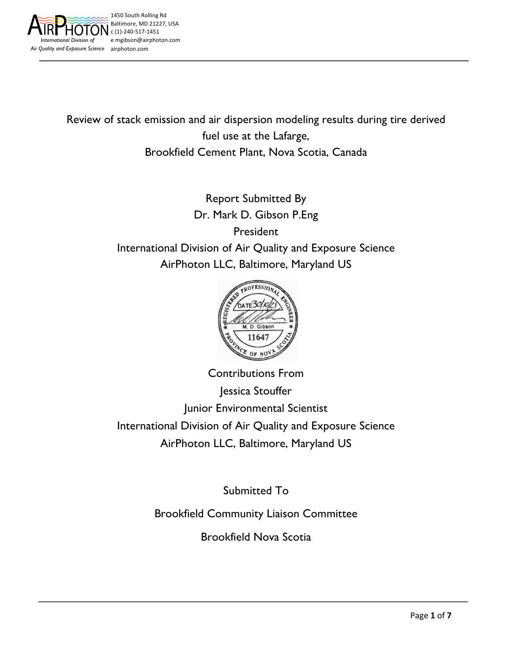

Review of stack emission and air dispersion modeling results during tire derived fuel use at the Lafarge, Brookfield Cement Plant, Nova Scotia, Canada

> Report Submitted By Dr. Mark D. Gibson P.Eng President International Division of Air Quality and Exposure Science AirPhoton LLC, Baltimore, Maryland US



Contributions From Jessica Stouffer Junior Environmental Scientist International Division of Air Quality and Exposure Science AirPhoton LLC, Baltimore, Maryland US

Submitted To

Brookfield Community Liaison Committee

Brookfield Nova Scotia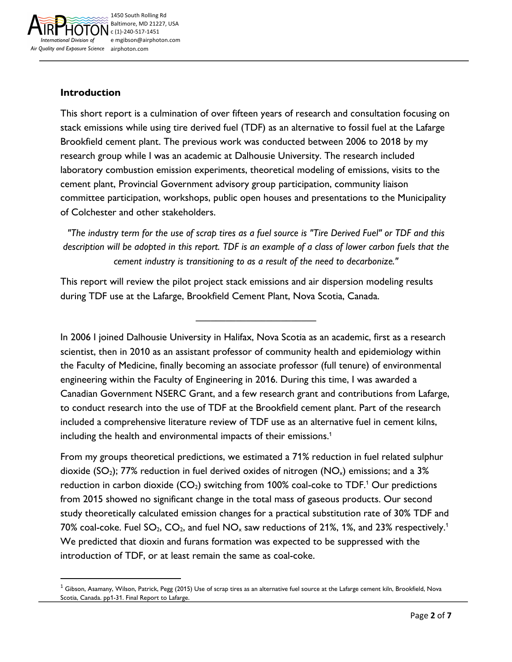

# **Introduction**

This short report is a culmination of over fifteen years of research and consultation focusing on stack emissions while using tire derived fuel (TDF) as an alternative to fossil fuel at the Lafarge Brookfield cement plant. The previous work was conducted between 2006 to 2018 by my research group while I was an academic at Dalhousie University. The research included laboratory combustion emission experiments, theoretical modeling of emissions, visits to the cement plant, Provincial Government advisory group participation, community liaison committee participation, workshops, public open houses and presentations to the Municipality of Colchester and other stakeholders.

*"The industry term for the use of scrap tires as a fuel source is "Tire Derived Fuel" or TDF and this description will be adopted in this report. TDF is an example of a class of lower carbon fuels that the cement industry is transitioning to as a result of the need to decarbonize."*

This report will review the pilot project stack emissions and air dispersion modeling results during TDF use at the Lafarge, Brookfield Cement Plant, Nova Scotia, Canada.

\_\_\_\_\_\_\_\_\_\_\_\_\_\_\_\_\_\_\_\_\_\_\_\_

In 2006 I joined Dalhousie University in Halifax, Nova Scotia as an academic, first as a research scientist, then in 2010 as an assistant professor of community health and epidemiology within the Faculty of Medicine, finally becoming an associate professor (full tenure) of environmental engineering within the Faculty of Engineering in 2016. During this time, I was awarded a Canadian Government NSERC Grant, and a few research grant and contributions from Lafarge, to conduct research into the use of TDF at the Brookfield cement plant. Part of the research included a comprehensive literature review of TDF use as an alternative fuel in cement kilns, including the health and environmental impacts of their emissions. 1

From my groups theoretical predictions, we estimated a 71% reduction in fuel related sulphur dioxide (SO<sub>2</sub>); 77% reduction in fuel derived oxides of nitrogen (NO<sub>x</sub>) emissions; and a 3% reduction in carbon dioxide  $(CO_2)$  switching from 100% coal-coke to TDF.<sup>1</sup> Our predictions from 2015 showed no significant change in the total mass of gaseous products. Our second study theoretically calculated emission changes for a practical substitution rate of 30% TDF and 70% coal-coke. Fuel  $SO_2$ ,  $CO_2$ , and fuel  $NO_x$  saw reductions of 21%, 1%, and 23% respectively.<sup>1</sup> We predicted that dioxin and furans formation was expected to be suppressed with the introduction of TDF, or at least remain the same as coal-coke.

 $1$  Gibson, Asamany, Wilson, Patrick, Pegg (2015) Use of scrap tires as an alternative fuel source at the Lafarge cement kiln, Brookfield, Nova Scotia, Canada. pp1-31. Final Report to Lafarge.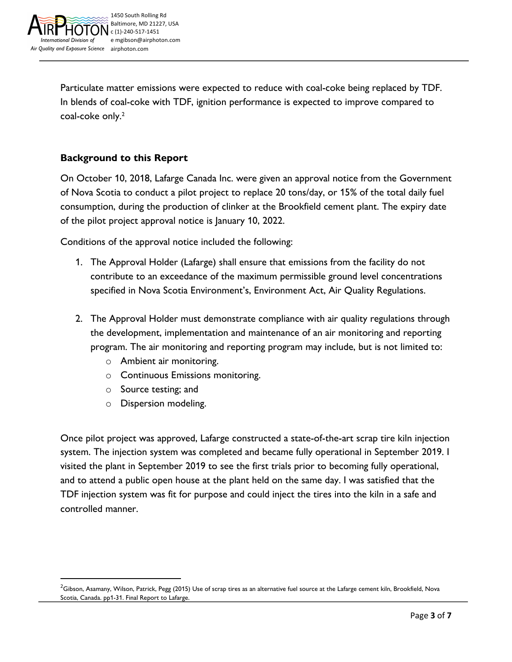

Particulate matter emissions were expected to reduce with coal-coke being replaced by TDF. In blends of coal-coke with TDF, ignition performance is expected to improve compared to coal-coke only.<sup>2</sup>

# **Background to this Report**

On October 10, 2018, Lafarge Canada Inc. were given an approval notice from the Government of Nova Scotia to conduct a pilot project to replace 20 tons/day, or 15% of the total daily fuel consumption, during the production of clinker at the Brookfield cement plant. The expiry date of the pilot project approval notice is January 10, 2022.

Conditions of the approval notice included the following:

- 1. The Approval Holder (Lafarge) shall ensure that emissions from the facility do not contribute to an exceedance of the maximum permissible ground level concentrations specified in Nova Scotia Environment's, Environment Act, Air Quality Regulations.
- 2. The Approval Holder must demonstrate compliance with air quality regulations through the development, implementation and maintenance of an air monitoring and reporting program. The air monitoring and reporting program may include, but is not limited to:
	- o Ambient air monitoring.
	- o Continuous Emissions monitoring.
	- o Source testing; and
	- o Dispersion modeling.

Once pilot project was approved, Lafarge constructed a state-of-the-art scrap tire kiln injection system. The injection system was completed and became fully operational in September 2019. I visited the plant in September 2019 to see the first trials prior to becoming fully operational, and to attend a public open house at the plant held on the same day. I was satisfied that the TDF injection system was fit for purpose and could inject the tires into the kiln in a safe and controlled manner.

 $^2$ Gibson, Asamany, Wilson, Patrick, Pegg (2015) Use of scrap tires as an alternative fuel source at the Lafarge cement kiln, Brookfield, Nova Scotia, Canada. pp1-31. Final Report to Lafarge.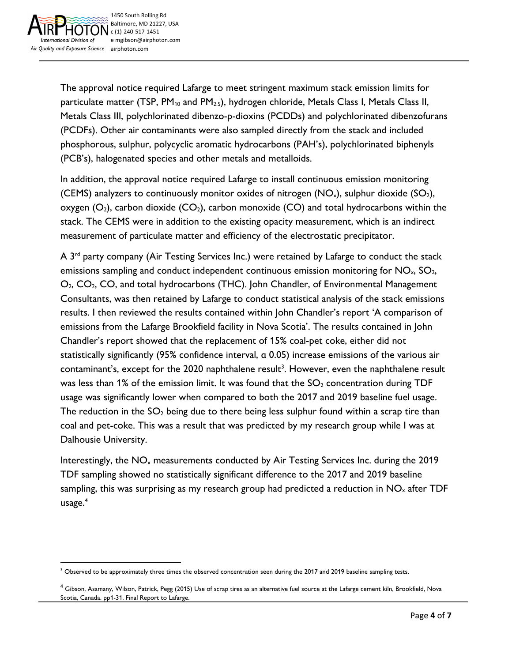

The approval notice required Lafarge to meet stringent maximum stack emission limits for particulate matter (TSP,  $PM_{10}$  and  $PM_{2.5}$ ), hydrogen chloride, Metals Class I, Metals Class II, Metals Class III, polychlorinated dibenzo-p-dioxins (PCDDs) and polychlorinated dibenzofurans (PCDFs). Other air contaminants were also sampled directly from the stack and included phosphorous, sulphur, polycyclic aromatic hydrocarbons (PAH's), polychlorinated biphenyls (PCB's), halogenated species and other metals and metalloids.

In addition, the approval notice required Lafarge to install continuous emission monitoring (CEMS) analyzers to continuously monitor oxides of nitrogen  $(NO_x)$ , sulphur dioxide (SO<sub>2</sub>), oxygen  $(O_2)$ , carbon dioxide  $(CO_2)$ , carbon monoxide  $(CO)$  and total hydrocarbons within the stack. The CEMS were in addition to the existing opacity measurement, which is an indirect measurement of particulate matter and efficiency of the electrostatic precipitator.

A 3<sup>rd</sup> party company (Air Testing Services Inc.) were retained by Lafarge to conduct the stack emissions sampling and conduct independent continuous emission monitoring for  $NO<sub>x</sub>$ ,  $SO<sub>2</sub>$ , O<sub>2</sub>, CO<sub>2</sub>, CO, and total hydrocarbons (THC). John Chandler, of Environmental Management Consultants, was then retained by Lafarge to conduct statistical analysis of the stack emissions results. I then reviewed the results contained within John Chandler's report 'A comparison of emissions from the Lafarge Brookfield facility in Nova Scotia'. The results contained in John Chandler's report showed that the replacement of 15% coal-pet coke, either did not statistically significantly (95% confidence interval, α 0.05) increase emissions of the various air contaminant's, except for the 2020 naphthalene result<sup>3</sup>. However, even the naphthalene result was less than 1% of the emission limit. It was found that the  $SO<sub>2</sub>$  concentration during TDF usage was significantly lower when compared to both the 2017 and 2019 baseline fuel usage. The reduction in the  $SO_2$  being due to there being less sulphur found within a scrap tire than coal and pet-coke. This was a result that was predicted by my research group while I was at Dalhousie University.

Interestingly, the  $NO<sub>x</sub>$  measurements conducted by Air Testing Services Inc. during the 2019 TDF sampling showed no statistically significant difference to the 2017 and 2019 baseline sampling, this was surprising as my research group had predicted a reduction in  $NO<sub>x</sub>$  after TDF usage. $4$ 

<sup>&</sup>lt;sup>3</sup> Observed to be approximately three times the observed concentration seen during the 2017 and 2019 baseline sampling tests.

<sup>4</sup> Gibson, Asamany, Wilson, Patrick, Pegg (2015) Use of scrap tires as an alternative fuel source at the Lafarge cement kiln, Brookfield, Nova Scotia, Canada. pp1-31. Final Report to Lafarge.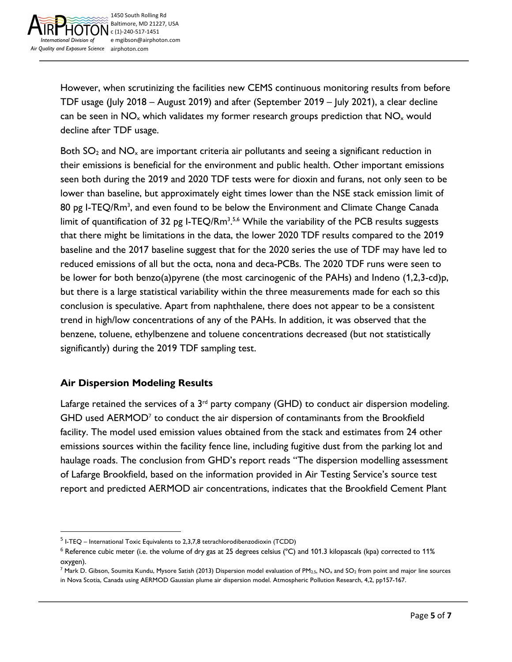

However, when scrutinizing the facilities new CEMS continuous monitoring results from before TDF usage (July 2018 – August 2019) and after (September 2019 – July 2021), a clear decline can be seen in  $NO<sub>x</sub>$  which validates my former research groups prediction that  $NO<sub>x</sub>$  would decline after TDF usage.

Both  $SO_2$  and  $NO_x$  are important criteria air pollutants and seeing a significant reduction in their emissions is beneficial for the environment and public health. Other important emissions seen both during the 2019 and 2020 TDF tests were for dioxin and furans, not only seen to be lower than baseline, but approximately eight times lower than the NSE stack emission limit of 80 pg I-TEQ/Rm<sup>3</sup>, and even found to be below the Environment and Climate Change Canada limit of quantification of 32 pg I-TEQ/Rm<sup>3,5,6</sup> While the variability of the PCB results suggests that there might be limitations in the data, the lower 2020 TDF results compared to the 2019 baseline and the 2017 baseline suggest that for the 2020 series the use of TDF may have led to reduced emissions of all but the octa, nona and deca-PCBs. The 2020 TDF runs were seen to be lower for both benzo(a)pyrene (the most carcinogenic of the PAHs) and Indeno (1,2,3-cd)p, but there is a large statistical variability within the three measurements made for each so this conclusion is speculative. Apart from naphthalene, there does not appear to be a consistent trend in high/low concentrations of any of the PAHs. In addition, it was observed that the benzene, toluene, ethylbenzene and toluene concentrations decreased (but not statistically significantly) during the 2019 TDF sampling test.

### **Air Dispersion Modeling Results**

Lafarge retained the services of a  $3<sup>rd</sup>$  party company (GHD) to conduct air dispersion modeling. GHD used AERMOD<sup>7</sup> to conduct the air dispersion of contaminants from the Brookfield facility. The model used emission values obtained from the stack and estimates from 24 other emissions sources within the facility fence line, including fugitive dust from the parking lot and haulage roads. The conclusion from GHD's report reads "The dispersion modelling assessment of Lafarge Brookfield, based on the information provided in Air Testing Service's source test report and predicted AERMOD air concentrations, indicates that the Brookfield Cement Plant

 $<sup>5</sup>$  I-TEQ – International Toxic Equivalents to 2,3,7,8 tetrachlorodibenzodioxin (TCDD)</sup>

 $6$  Reference cubic meter (i.e. the volume of dry gas at 25 degrees celsius (°C) and 101.3 kilopascals (kpa) corrected to 11% oxygen).

<sup>&</sup>lt;sup>7</sup> Mark D. Gibson, Soumita Kundu, Mysore Satish (2013) Dispersion model evaluation of PM<sub>2.5</sub>, NO<sub>x</sub> and SO<sub>2</sub> from point and major line sources in Nova Scotia, Canada using AERMOD Gaussian plume air dispersion model. Atmospheric Pollution Research, 4,2, pp157-167.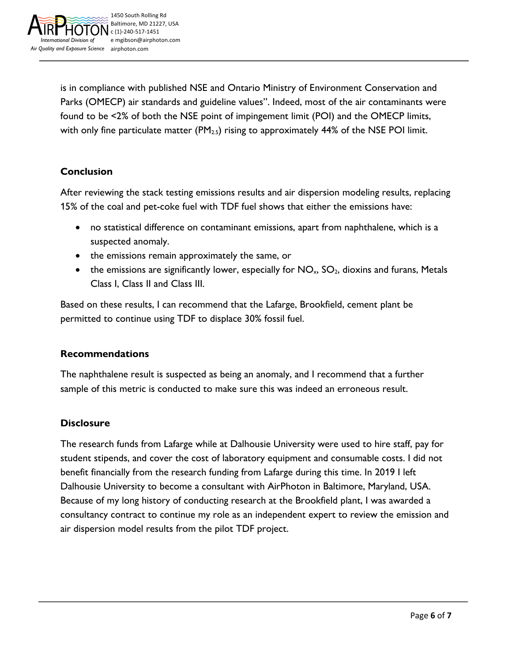

is in compliance with published NSE and Ontario Ministry of Environment Conservation and Parks (OMECP) air standards and guideline values". Indeed, most of the air contaminants were found to be <2% of both the NSE point of impingement limit (POI) and the OMECP limits, with only fine particulate matter  $(PM_{2.5})$  rising to approximately 44% of the NSE POI limit.

### **Conclusion**

After reviewing the stack testing emissions results and air dispersion modeling results, replacing 15% of the coal and pet-coke fuel with TDF fuel shows that either the emissions have:

- no statistical difference on contaminant emissions, apart from naphthalene, which is a suspected anomaly.
- the emissions remain approximately the same, or
- the emissions are significantly lower, especially for  $NO<sub>x</sub>$ ,  $SO<sub>2</sub>$ , dioxins and furans, Metals Class I, Class II and Class III.

Based on these results, I can recommend that the Lafarge, Brookfield, cement plant be permitted to continue using TDF to displace 30% fossil fuel.

#### **Recommendations**

The naphthalene result is suspected as being an anomaly, and I recommend that a further sample of this metric is conducted to make sure this was indeed an erroneous result.

#### **Disclosure**

The research funds from Lafarge while at Dalhousie University were used to hire staff, pay for student stipends, and cover the cost of laboratory equipment and consumable costs. I did not benefit financially from the research funding from Lafarge during this time. In 2019 I left Dalhousie University to become a consultant with AirPhoton in Baltimore, Maryland, USA. Because of my long history of conducting research at the Brookfield plant, I was awarded a consultancy contract to continue my role as an independent expert to review the emission and air dispersion model results from the pilot TDF project.